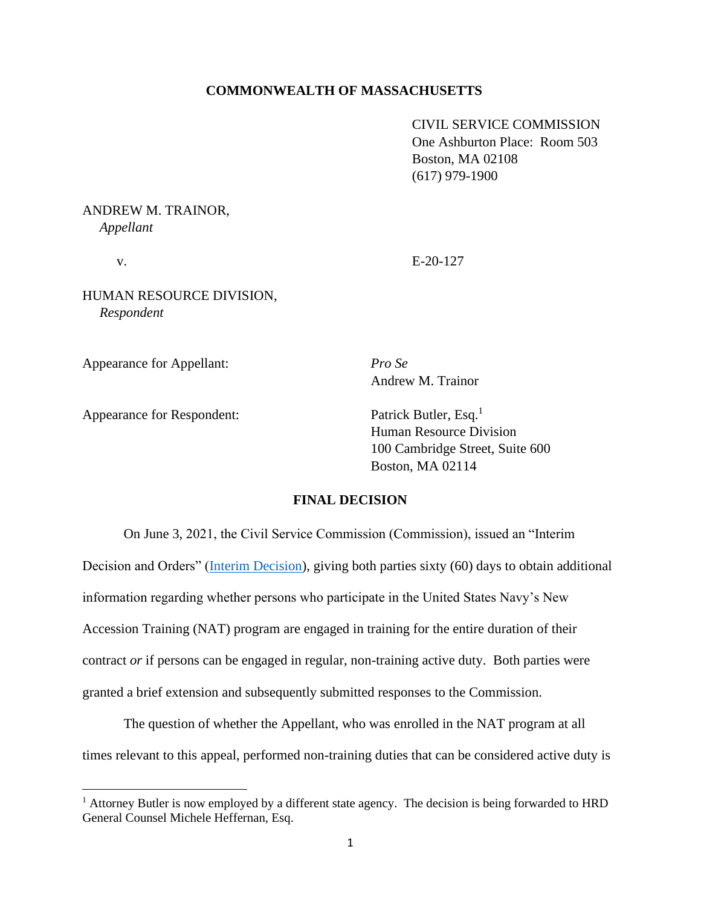### **COMMONWEALTH OF MASSACHUSETTS**

CIVIL SERVICE COMMISSION One Ashburton Place: Room 503 Boston, MA 02108 (617) 979-1900

ANDREW M. TRAINOR,  *Appellant*

v. E-20-127

HUMAN RESOURCE DIVISION,  *Respondent*

Appearance for Appellant: *Pro Se*

Andrew M. Trainor

Appearance for Respondent: Patrick Butler, Esq.<sup>1</sup>

Human Resource Division 100 Cambridge Street, Suite 600 Boston, MA 02114

### **FINAL DECISION**

On June 3, 2021, the Civil Service Commission (Commission), issued an "Interim Decision and Orders" [\(Interim Decision\)](https://www.mass.gov/doc/trainor-andrew-v-human-resources-division-6321/download), giving both parties sixty (60) days to obtain additional information regarding whether persons who participate in the United States Navy's New Accession Training (NAT) program are engaged in training for the entire duration of their contract *or* if persons can be engaged in regular, non-training active duty. Both parties were granted a brief extension and subsequently submitted responses to the Commission.

The question of whether the Appellant, who was enrolled in the NAT program at all times relevant to this appeal, performed non-training duties that can be considered active duty is

<sup>&</sup>lt;sup>1</sup> Attorney Butler is now employed by a different state agency. The decision is being forwarded to HRD General Counsel Michele Heffernan, Esq.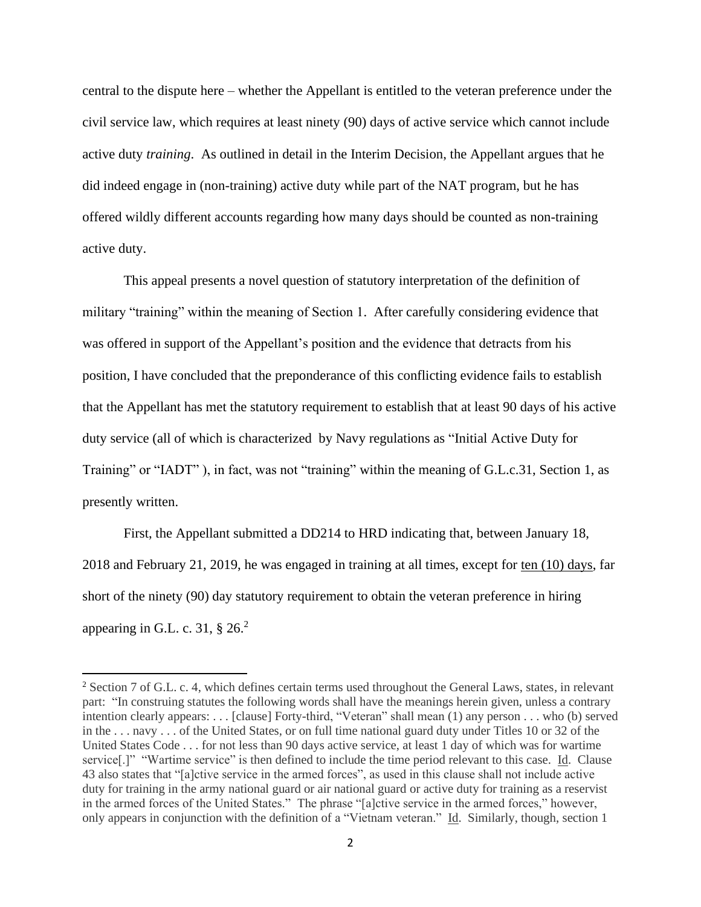central to the dispute here – whether the Appellant is entitled to the veteran preference under the civil service law, which requires at least ninety (90) days of active service which cannot include active duty *training*. As outlined in detail in the Interim Decision, the Appellant argues that he did indeed engage in (non-training) active duty while part of the NAT program, but he has offered wildly different accounts regarding how many days should be counted as non-training active duty.

This appeal presents a novel question of statutory interpretation of the definition of military "training" within the meaning of Section 1. After carefully considering evidence that was offered in support of the Appellant's position and the evidence that detracts from his position, I have concluded that the preponderance of this conflicting evidence fails to establish that the Appellant has met the statutory requirement to establish that at least 90 days of his active duty service (all of which is characterized by Navy regulations as "Initial Active Duty for Training" or "IADT" ), in fact, was not "training" within the meaning of G.L.c.31, Section 1, as presently written.

First, the Appellant submitted a DD214 to HRD indicating that, between January 18, 2018 and February 21, 2019, he was engaged in training at all times, except for ten (10) days, far short of the ninety (90) day statutory requirement to obtain the veteran preference in hiring appearing in G.L. c. 31,  $\S 26.<sup>2</sup>$ 

<sup>2</sup> Section 7 of G.L. c. 4, which defines certain terms used throughout the General Laws, states, in relevant part: "In construing statutes the following words shall have the meanings herein given, unless a contrary intention clearly appears: . . . [clause] Forty-third, "Veteran" shall mean (1) any person . . . who (b) served in the . . . navy . . . of the United States, or on full time national guard duty under Titles 10 or 32 of the United States Code . . . for not less than 90 days active service, at least 1 day of which was for wartime service[.]" "Wartime service" is then defined to include the time period relevant to this case. Id. Clause 43 also states that "[a]ctive service in the armed forces", as used in this clause shall not include active duty for training in the army national guard or air national guard or active duty for training as a reservist in the armed forces of the United States." The phrase "[a]ctive service in the armed forces," however, only appears in conjunction with the definition of a "Vietnam veteran." Id. Similarly, though, section 1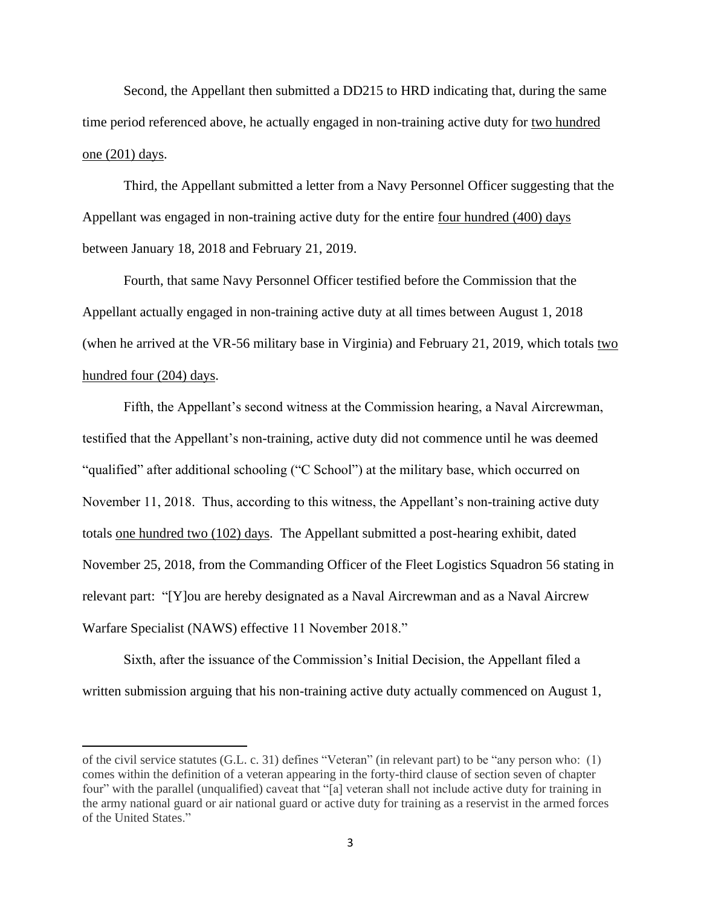Second, the Appellant then submitted a DD215 to HRD indicating that, during the same time period referenced above, he actually engaged in non-training active duty for two hundred one (201) days.

Third, the Appellant submitted a letter from a Navy Personnel Officer suggesting that the Appellant was engaged in non-training active duty for the entire four hundred (400) days between January 18, 2018 and February 21, 2019.

Fourth, that same Navy Personnel Officer testified before the Commission that the Appellant actually engaged in non-training active duty at all times between August 1, 2018 (when he arrived at the VR-56 military base in Virginia) and February 21, 2019, which totals two hundred four (204) days.

Fifth, the Appellant's second witness at the Commission hearing, a Naval Aircrewman, testified that the Appellant's non-training, active duty did not commence until he was deemed "qualified" after additional schooling ("C School") at the military base, which occurred on November 11, 2018. Thus, according to this witness, the Appellant's non-training active duty totals one hundred two (102) days. The Appellant submitted a post-hearing exhibit, dated November 25, 2018, from the Commanding Officer of the Fleet Logistics Squadron 56 stating in relevant part: "[Y]ou are hereby designated as a Naval Aircrewman and as a Naval Aircrew Warfare Specialist (NAWS) effective 11 November 2018."

Sixth, after the issuance of the Commission's Initial Decision, the Appellant filed a written submission arguing that his non-training active duty actually commenced on August 1,

of the civil service statutes (G.L. c. 31) defines "Veteran" (in relevant part) to be "any person who: (1) comes within the definition of a veteran appearing in the forty-third clause of section seven of chapter four" with the parallel (unqualified) caveat that "[a] veteran shall not include active duty for training in the army national guard or air national guard or active duty for training as a reservist in the armed forces of the United States."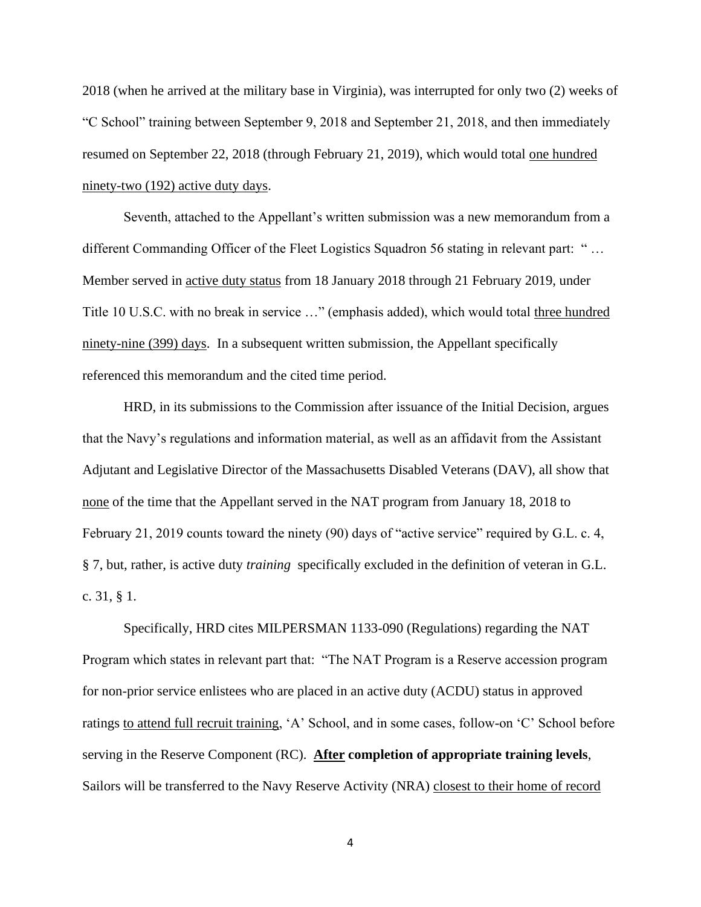2018 (when he arrived at the military base in Virginia), was interrupted for only two (2) weeks of "C School" training between September 9, 2018 and September 21, 2018, and then immediately resumed on September 22, 2018 (through February 21, 2019), which would total one hundred ninety-two (192) active duty days.

Seventh, attached to the Appellant's written submission was a new memorandum from a different Commanding Officer of the Fleet Logistics Squadron 56 stating in relevant part: " … Member served in active duty status from 18 January 2018 through 21 February 2019, under Title 10 U.S.C. with no break in service …" (emphasis added), which would total three hundred ninety-nine (399) days. In a subsequent written submission, the Appellant specifically referenced this memorandum and the cited time period.

 HRD, in its submissions to the Commission after issuance of the Initial Decision, argues that the Navy's regulations and information material, as well as an affidavit from the Assistant Adjutant and Legislative Director of the Massachusetts Disabled Veterans (DAV), all show that none of the time that the Appellant served in the NAT program from January 18, 2018 to February 21, 2019 counts toward the ninety (90) days of "active service" required by G.L. c. 4, § 7, but, rather, is active duty *training* specifically excluded in the definition of veteran in G.L. c. 31, § 1.

Specifically, HRD cites MILPERSMAN 1133-090 (Regulations) regarding the NAT Program which states in relevant part that: "The NAT Program is a Reserve accession program for non-prior service enlistees who are placed in an active duty (ACDU) status in approved ratings to attend full recruit training, 'A' School, and in some cases, follow-on 'C' School before serving in the Reserve Component (RC). **After completion of appropriate training levels**, Sailors will be transferred to the Navy Reserve Activity (NRA) closest to their home of record

4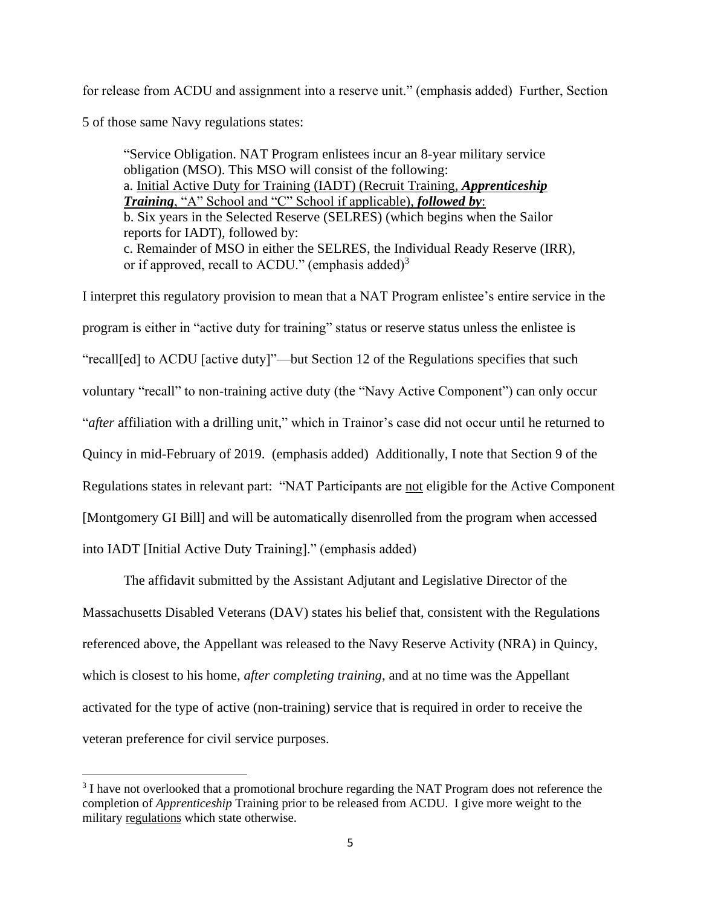for release from ACDU and assignment into a reserve unit." (emphasis added) Further, Section

5 of those same Navy regulations states:

"Service Obligation. NAT Program enlistees incur an 8-year military service obligation (MSO). This MSO will consist of the following: a. Initial Active Duty for Training (IADT) (Recruit Training, *Apprenticeship Training*, "A" School and "C" School if applicable), *followed by*: b. Six years in the Selected Reserve (SELRES) (which begins when the Sailor reports for IADT), followed by: c. Remainder of MSO in either the SELRES, the Individual Ready Reserve (IRR), or if approved, recall to ACDU." (emphasis added) $3$ 

I interpret this regulatory provision to mean that a NAT Program enlistee's entire service in the program is either in "active duty for training" status or reserve status unless the enlistee is "recall[ed] to ACDU [active duty]"—but Section 12 of the Regulations specifies that such voluntary "recall" to non-training active duty (the "Navy Active Component") can only occur "*after* affiliation with a drilling unit," which in Trainor's case did not occur until he returned to Quincy in mid-February of 2019. (emphasis added) Additionally, I note that Section 9 of the Regulations states in relevant part: "NAT Participants are not eligible for the Active Component [Montgomery GI Bill] and will be automatically disenrolled from the program when accessed into IADT [Initial Active Duty Training]." (emphasis added)

The affidavit submitted by the Assistant Adjutant and Legislative Director of the Massachusetts Disabled Veterans (DAV) states his belief that, consistent with the Regulations referenced above, the Appellant was released to the Navy Reserve Activity (NRA) in Quincy, which is closest to his home, *after completing training*, and at no time was the Appellant activated for the type of active (non-training) service that is required in order to receive the veteran preference for civil service purposes.

<sup>&</sup>lt;sup>3</sup> I have not overlooked that a promotional brochure regarding the NAT Program does not reference the completion of *Apprenticeship* Training prior to be released from ACDU. I give more weight to the military regulations which state otherwise.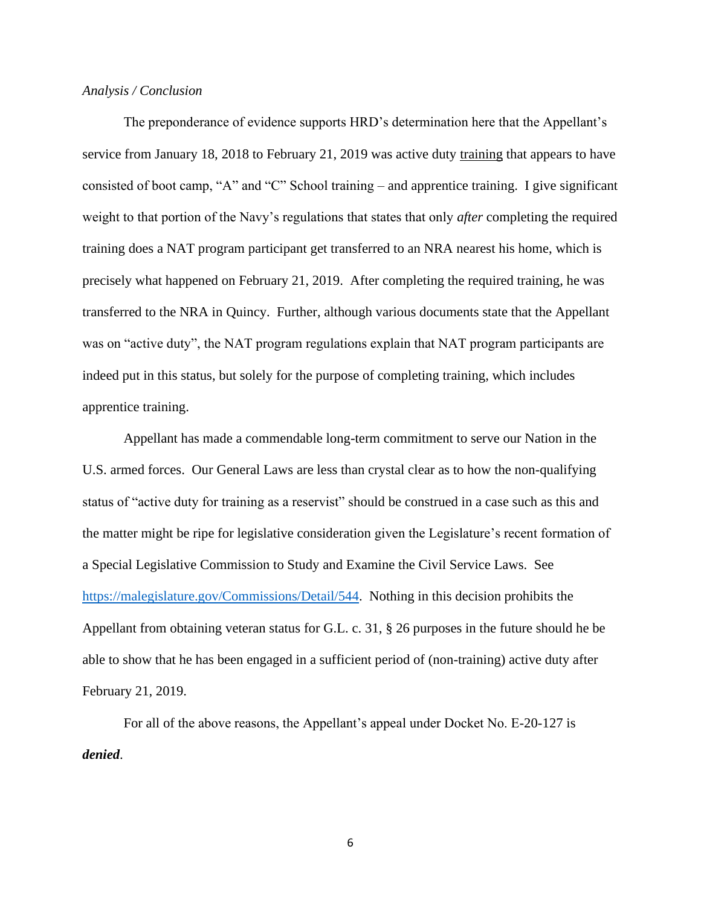## *Analysis / Conclusion*

The preponderance of evidence supports HRD's determination here that the Appellant's service from January 18, 2018 to February 21, 2019 was active duty training that appears to have consisted of boot camp, "A" and "C" School training – and apprentice training. I give significant weight to that portion of the Navy's regulations that states that only *after* completing the required training does a NAT program participant get transferred to an NRA nearest his home, which is precisely what happened on February 21, 2019. After completing the required training, he was transferred to the NRA in Quincy. Further, although various documents state that the Appellant was on "active duty", the NAT program regulations explain that NAT program participants are indeed put in this status, but solely for the purpose of completing training, which includes apprentice training.

Appellant has made a commendable long-term commitment to serve our Nation in the U.S. armed forces. Our General Laws are less than crystal clear as to how the non-qualifying status of "active duty for training as a reservist" should be construed in a case such as this and the matter might be ripe for legislative consideration given the Legislature's recent formation of a Special Legislative Commission to Study and Examine the Civil Service Laws. See [https://malegislature.gov/Commissions/Detail/544.](https://malegislature.gov/Commissions/Detail/544) Nothing in this decision prohibits the Appellant from obtaining veteran status for G.L. c. 31, § 26 purposes in the future should he be able to show that he has been engaged in a sufficient period of (non-training) active duty after February 21, 2019.

For all of the above reasons, the Appellant's appeal under Docket No. E-20-127 is *denied*.